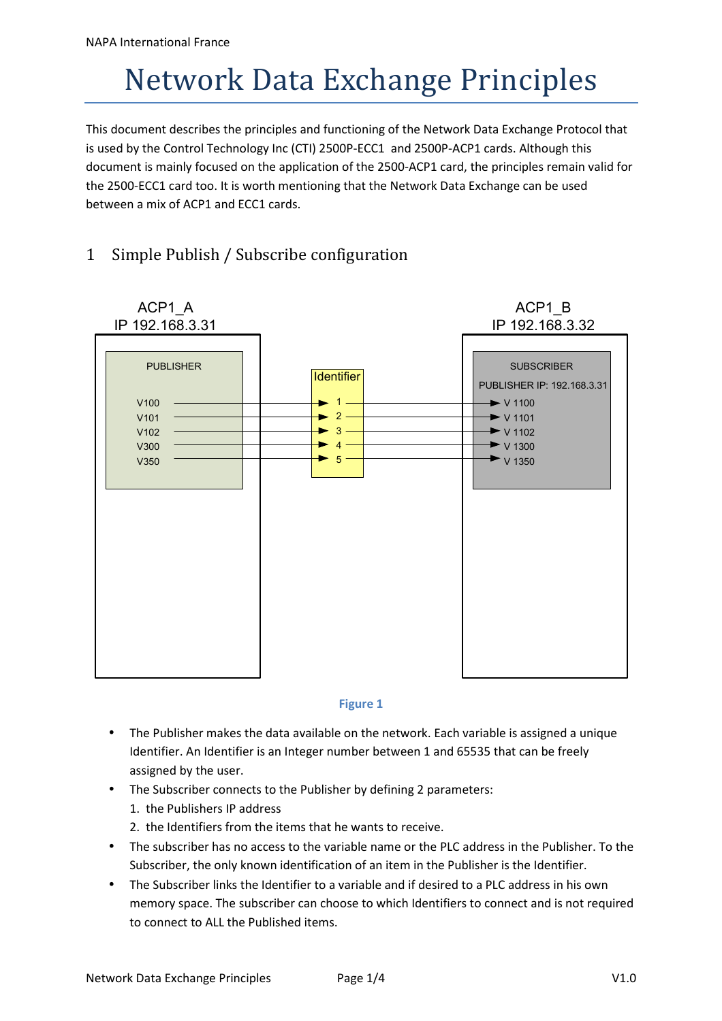## Network Data Exchange Principles

This document describes the principles and functioning of the Network Data Exchange Protocol that is used by the Control Technology Inc (CTI) 2500P-ECC1 and 2500P-ACP1 cards. Although this document is mainly focused on the application of the 2500-ACP1 card, the principles remain valid for the 2500-ECC1 card too. It is worth mentioning that the Network Data Exchange can be used between a mix of ACP1 and ECC1 cards.

## 1 Simple Publish / Subscribe configuration





- The Publisher makes the data available on the network. Each variable is assigned a unique Identifier. An Identifier is an Integer number between 1 and 65535 that can be freely assigned by the user.
- The Subscriber connects to the Publisher by defining 2 parameters:
	- 1. the Publishers IP address
	- 2. the Identifiers from the items that he wants to receive.
- The subscriber has no access to the variable name or the PLC address in the Publisher. To the Subscriber, the only known identification of an item in the Publisher is the Identifier.
- The Subscriber links the Identifier to a variable and if desired to a PLC address in his own memory space. The subscriber can choose to which Identifiers to connect and is not required to connect to ALL the Published items.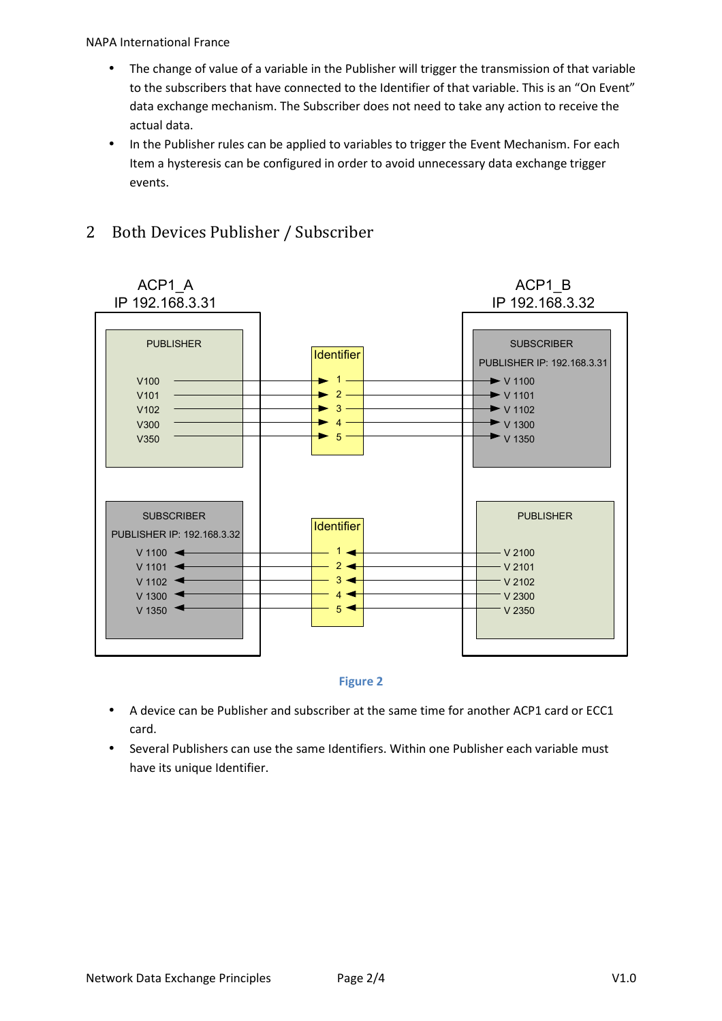NAPA International France

- The change of value of a variable in the Publisher will trigger the transmission of that variable to the subscribers that have connected to the Identifier of that variable. This is an "On Event" data exchange mechanism. The Subscriber does not need to take any action to receive the actual data.
- In the Publisher rules can be applied to variables to trigger the Event Mechanism. For each Item a hysteresis can be configured in order to avoid unnecessary data exchange trigger events.



## 2 Both Devices Publisher / Subscriber



- A device can be Publisher and subscriber at the same time for another ACP1 card or ECC1 card.
- Several Publishers can use the same Identifiers. Within one Publisher each variable must have its unique Identifier.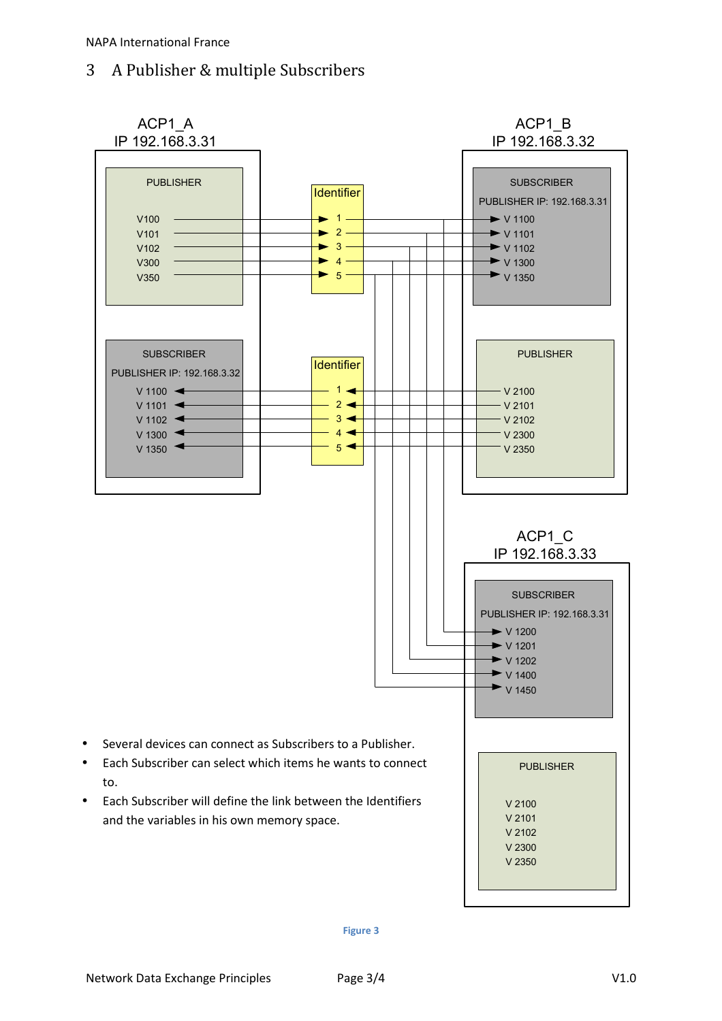## 3 A Publisher & multiple Subscribers



**Figure 3**